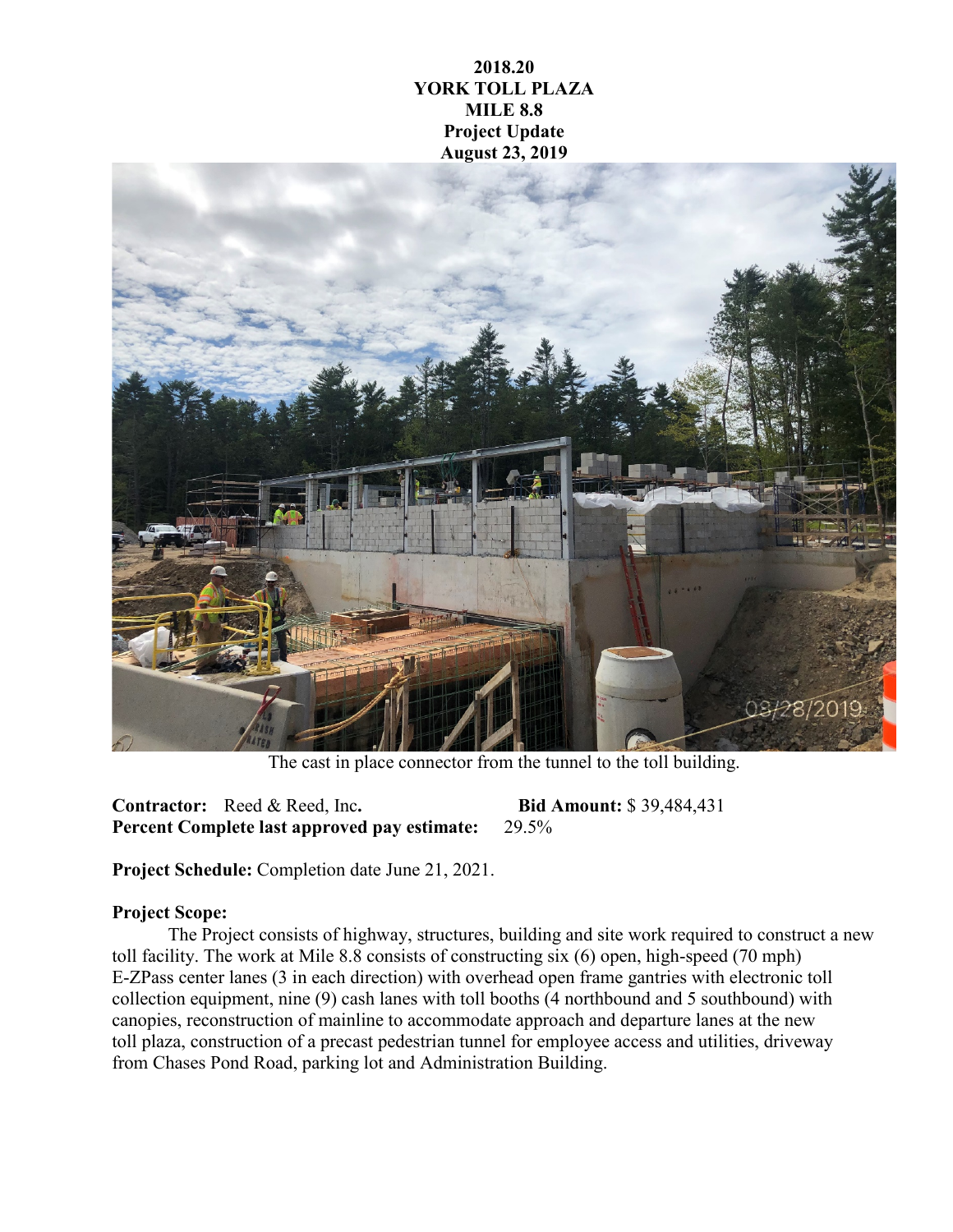## **2018.20 YORK TOLL PLAZA MILE 8.8 Project Update August 23, 2019**



The cast in place connector from the tunnel to the toll building.

**Contractor:** Reed & Reed, Inc**. Bid Amount:** \$ 39,484,431 **Percent Complete last approved pay estimate:** 29.5%

**Project Schedule:** Completion date June 21, 2021.

## **Project Scope:**

The Project consists of highway, structures, building and site work required to construct a new toll facility. The work at Mile 8.8 consists of constructing six (6) open, high-speed (70 mph) E-ZPass center lanes (3 in each direction) with overhead open frame gantries with electronic toll collection equipment, nine (9) cash lanes with toll booths (4 northbound and 5 southbound) with canopies, reconstruction of mainline to accommodate approach and departure lanes at the new toll plaza, construction of a precast pedestrian tunnel for employee access and utilities, driveway from Chases Pond Road, parking lot and Administration Building.